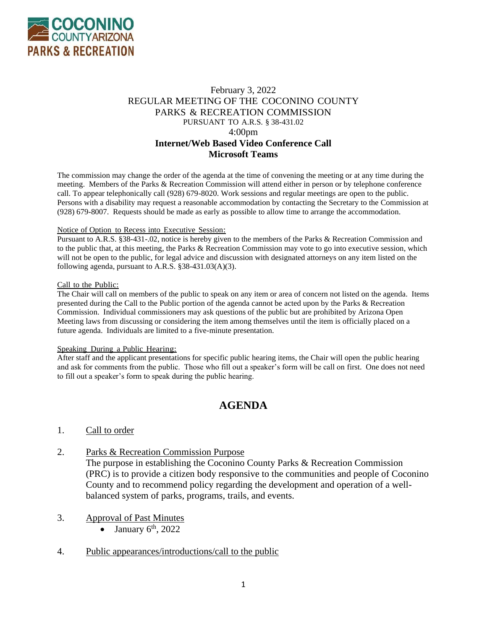

# February 3, 2022 REGULAR MEETING OF THE COCONINO COUNTY PARKS & RECREATION COMMISSION PURSUANT TO A.R.S. § 38-431.02 4:00pm **Internet/Web Based Video Conference Call Microsoft Teams**

The commission may change the order of the agenda at the time of convening the meeting or at any time during the meeting. Members of the Parks & Recreation Commission will attend either in person or by telephone conference call. To appear telephonically call (928) 679-8020. Work sessions and regular meetings are open to the public. Persons with a disability may request a reasonable accommodation by contacting the Secretary to the Commission at (928) 679-8007. Requests should be made as early as possible to allow time to arrange the accommodation.

#### Notice of Option to Recess into Executive Session:

Pursuant to A.R.S. §38-431-.02, notice is hereby given to the members of the Parks & Recreation Commission and to the public that, at this meeting, the Parks & Recreation Commission may vote to go into executive session, which will not be open to the public, for legal advice and discussion with designated attorneys on any item listed on the following agenda, pursuant to A.R.S. §38-431.03(A)(3).

#### Call to the Public:

The Chair will call on members of the public to speak on any item or area of concern not listed on the agenda. Items presented during the Call to the Public portion of the agenda cannot be acted upon by the Parks & Recreation Commission. Individual commissioners may ask questions of the public but are prohibited by Arizona Open Meeting laws from discussing or considering the item among themselves until the item is officially placed on a future agenda. Individuals are limited to a five-minute presentation.

#### Speaking During a Public Hearing:

After staff and the applicant presentations for specific public hearing items, the Chair will open the public hearing and ask for comments from the public. Those who fill out a speaker's form will be call on first. One does not need to fill out a speaker's form to speak during the public hearing.

# **AGENDA**

## 1. Call to order

2. Parks & Recreation Commission Purpose

The purpose in establishing the Coconino County Parks & Recreation Commission (PRC) is to provide a citizen body responsive to the communities and people of Coconino County and to recommend policy regarding the development and operation of a wellbalanced system of parks, programs, trails, and events.

## 3. Approval of Past Minutes

- January  $6<sup>th</sup>$ , 2022
- 4. Public appearances/introductions/call to the public